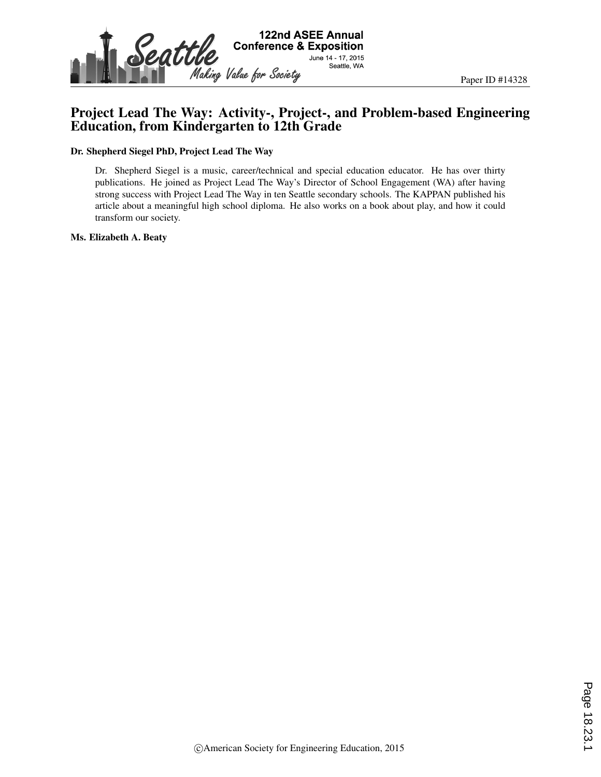

#### Project Lead The Way: Activity-, Project-, and Problem-based Engineering Education, from Kindergarten to 12th Grade

#### Dr. Shepherd Siegel PhD, Project Lead The Way

Dr. Shepherd Siegel is a music, career/technical and special education educator. He has over thirty publications. He joined as Project Lead The Way's Director of School Engagement (WA) after having strong success with Project Lead The Way in ten Seattle secondary schools. The KAPPAN published his article about a meaningful high school diploma. He also works on a book about play, and how it could transform our society.

#### Ms. Elizabeth A. Beaty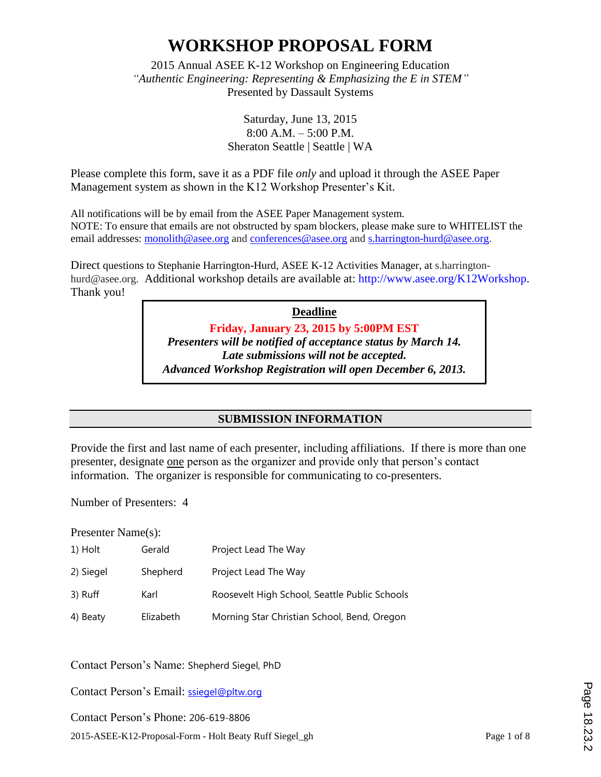2015 Annual ASEE K-12 Workshop on Engineering Education *"Authentic Engineering: Representing & Emphasizing the E in STEM"* Presented by Dassault Systems

> Saturday, June 13, 2015 8:00 A.M. – 5:00 P.M. Sheraton Seattle | Seattle | WA

Please complete this form, save it as a PDF file *only* and upload it through the ASEE Paper Management system as shown in the K12 Workshop Presenter's Kit.

All notifications will be by email from the ASEE Paper Management system. NOTE: To ensure that emails are not obstructed by spam blockers, please make sure to WHITELIST the email addresses: monolith@asee.org and conferences@asee.org and s.harrington-hurd@asee.org.

Direct questions to Stephanie Harrington-Hurd, ASEE K-12 Activities Manager, at s.harringtonhurd@asee.org. Additional workshop details are available at: http://www.asee.org/K12Workshop. Thank you!

> **Deadline Friday, January 23, 2015 by 5:00PM EST** *Presenters will be notified of acceptance status by March 14. Late submissions will not be accepted. Advanced Workshop Registration will open December 6, 2013.*

> > **SUBMISSION INFORMATION**

Provide the first and last name of each presenter, including affiliations. If there is more than one presenter, designate one person as the organizer and provide only that person's contact information. The organizer is responsible for communicating to co-presenters.

Number of Presenters: 4

Presenter Name(s):

| 1) Holt   | Gerald    | Project Lead The Way                          |
|-----------|-----------|-----------------------------------------------|
| 2) Siegel | Shepherd  | Project Lead The Way                          |
| 3) Ruff   | Karl      | Roosevelt High School, Seattle Public Schools |
| 4) Beaty  | Elizabeth | Morning Star Christian School, Bend, Oregon   |

Contact Person's Name: Shepherd Siegel, PhD

Contact Person's Email: ssiegel@pltw.org

2015-ASEE-K12-Proposal-Form - Holt Beaty Ruff Siegel\_gh Page 1 of 8 Contact Person's Phone: 206-619-8806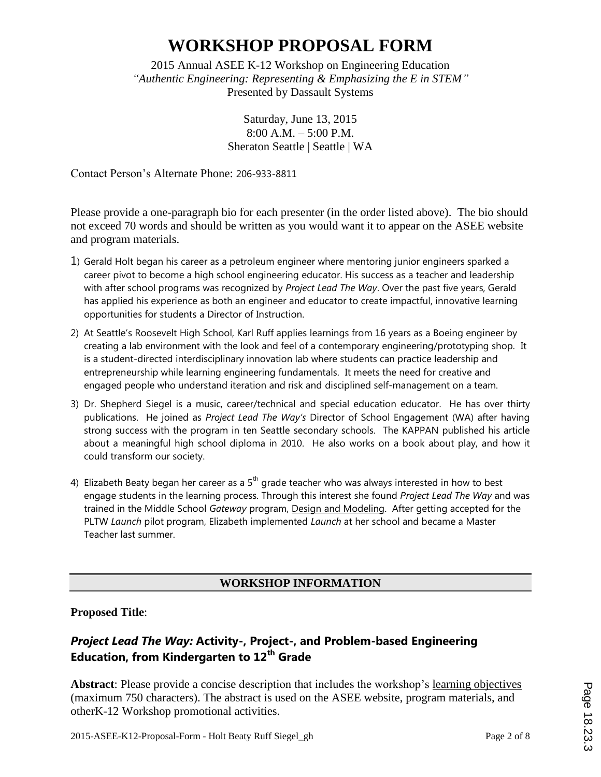2015 Annual ASEE K-12 Workshop on Engineering Education *"Authentic Engineering: Representing & Emphasizing the E in STEM"* Presented by Dassault Systems

> Saturday, June 13, 2015 8:00 A.M. – 5:00 P.M. Sheraton Seattle | Seattle | WA

Contact Person's Alternate Phone: 206-933-8811

Please provide a one-paragraph bio for each presenter (in the order listed above). The bio should not exceed 70 words and should be written as you would want it to appear on the ASEE website and program materials.

- 1) Gerald Holt began his career as a petroleum engineer where mentoring junior engineers sparked a career pivot to become a high school engineering educator. His success as a teacher and leadership with after school programs was recognized by *Project Lead The Way*. Over the past five years, Gerald has applied his experience as both an engineer and educator to create impactful, innovative learning opportunities for students a Director of Instruction.
- 2) At Seattle's Roosevelt High School, Karl Ruff applies learnings from 16 years as a Boeing engineer by creating a lab environment with the look and feel of a contemporary engineering/prototyping shop. It is a student-directed interdisciplinary innovation lab where students can practice leadership and entrepreneurship while learning engineering fundamentals. It meets the need for creative and engaged people who understand iteration and risk and disciplined self-management on a team.
- 3) Dr. Shepherd Siegel is a music, career/technical and special education educator. He has over thirty publications. He joined as *Project Lead The Way's* Director of School Engagement (WA) after having strong success with the program in ten Seattle secondary schools. The KAPPAN published his article about a meaningful high school diploma in 2010. He also works on a book about play, and how it could transform our society.
- 4) Elizabeth Beaty began her career as a  $5<sup>th</sup>$  grade teacher who was always interested in how to best engage students in the learning process. Through this interest she found *Project Lead The Way* and was trained in the Middle School *Gateway* program, Design and Modeling. After getting accepted for the PLTW *Launch* pilot program, Elizabeth implemented *Launch* at her school and became a Master Teacher last summer.

#### **WORKSHOP INFORMATION**

**Proposed Title**:

#### *Project Lead The Way:* **Activity-, Project-, and Problem-based Engineering Education, from Kindergarten to 12th Grade**

**Abstract**: Please provide a concise description that includes the workshop's learning objectives (maximum 750 characters). The abstract is used on the ASEE website, program materials, and otherK-12 Workshop promotional activities.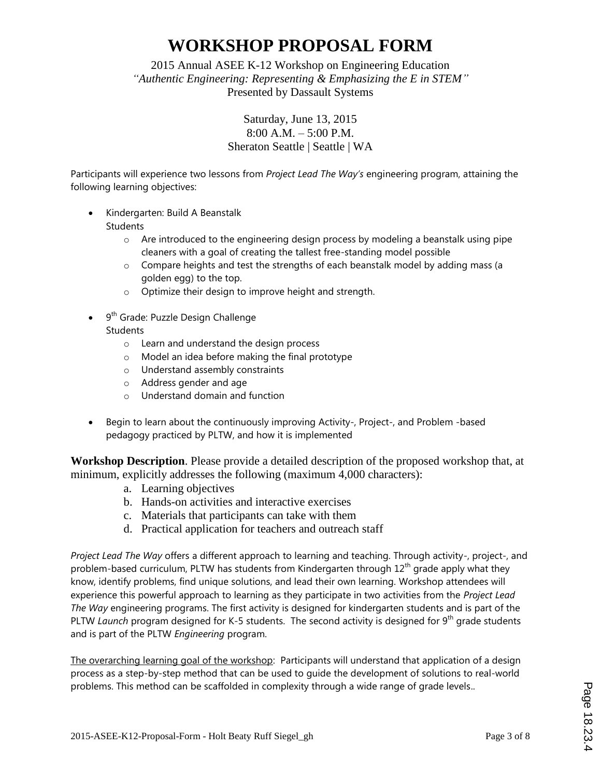2015 Annual ASEE K-12 Workshop on Engineering Education *"Authentic Engineering: Representing & Emphasizing the E in STEM"* Presented by Dassault Systems

> Saturday, June 13, 2015 8:00 A.M. – 5:00 P.M. Sheraton Seattle | Seattle | WA

Participants will experience two lessons from *Project Lead The Way's* engineering program, attaining the following learning objectives:

- Kindergarten: Build A Beanstalk
	- **Students** 
		- $\circ$  Are introduced to the engineering design process by modeling a beanstalk using pipe cleaners with a goal of creating the tallest free-standing model possible
		- $\circ$  Compare heights and test the strengths of each beanstalk model by adding mass (a golden egg) to the top.
		- o Optimize their design to improve height and strength.
- 9<sup>th</sup> Grade: Puzzle Design Challenge
	- **Students** 
		- o Learn and understand the design process
		- o Model an idea before making the final prototype
		- o Understand assembly constraints
		- o Address gender and age
		- o Understand domain and function
- Begin to learn about the continuously improving Activity-, Project-, and Problem -based pedagogy practiced by PLTW, and how it is implemented

**Workshop Description**. Please provide a detailed description of the proposed workshop that, at minimum, explicitly addresses the following (maximum 4,000 characters):

- a. Learning objectives
- b. Hands-on activities and interactive exercises
- c. Materials that participants can take with them
- d. Practical application for teachers and outreach staff

*Project Lead The Way* offers a different approach to learning and teaching. Through activity-, project-, and problem-based curriculum, PLTW has students from Kindergarten through  $12<sup>th</sup>$  grade apply what they know, identify problems, find unique solutions, and lead their own learning. Workshop attendees will experience this powerful approach to learning as they participate in two activities from the *Project Lead The Way* engineering programs. The first activity is designed for kindergarten students and is part of the PLTW *Launch* program designed for K-5 students. The second activity is designed for 9<sup>th</sup> grade students and is part of the PLTW *Engineering* program.

The overarching learning goal of the workshop: Participants will understand that application of a design process as a step-by-step method that can be used to guide the development of solutions to real-world problems. This method can be scaffolded in complexity through a wide range of grade levels..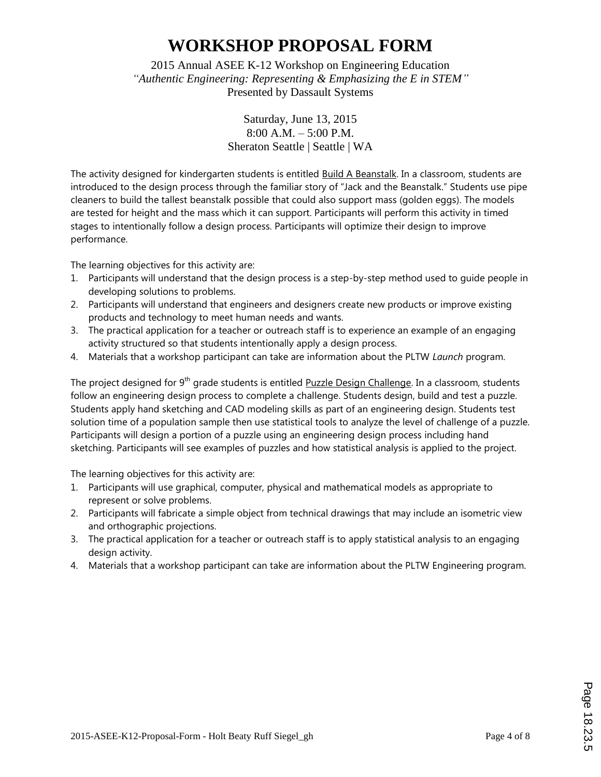2015 Annual ASEE K-12 Workshop on Engineering Education *"Authentic Engineering: Representing & Emphasizing the E in STEM"* Presented by Dassault Systems

> Saturday, June 13, 2015 8:00 A.M. – 5:00 P.M. Sheraton Seattle | Seattle | WA

The activity designed for kindergarten students is entitled Build A Beanstalk. In a classroom, students are introduced to the design process through the familiar story of "Jack and the Beanstalk." Students use pipe cleaners to build the tallest beanstalk possible that could also support mass (golden eggs). The models are tested for height and the mass which it can support. Participants will perform this activity in timed stages to intentionally follow a design process. Participants will optimize their design to improve performance.

The learning objectives for this activity are:

- 1. Participants will understand that the design process is a step-by-step method used to guide people in developing solutions to problems.
- 2. Participants will understand that engineers and designers create new products or improve existing products and technology to meet human needs and wants.
- 3. The practical application for a teacher or outreach staff is to experience an example of an engaging activity structured so that students intentionally apply a design process.
- 4. Materials that a workshop participant can take are information about the PLTW *Launch* program.

The project designed for 9<sup>th</sup> grade students is entitled Puzzle Design Challenge. In a classroom, students follow an engineering design process to complete a challenge. Students design, build and test a puzzle. Students apply hand sketching and CAD modeling skills as part of an engineering design. Students test solution time of a population sample then use statistical tools to analyze the level of challenge of a puzzle. Participants will design a portion of a puzzle using an engineering design process including hand sketching. Participants will see examples of puzzles and how statistical analysis is applied to the project.

The learning objectives for this activity are:

- 1. Participants will use graphical, computer, physical and mathematical models as appropriate to represent or solve problems.
- 2. Participants will fabricate a simple object from technical drawings that may include an isometric view and orthographic projections.
- 3. The practical application for a teacher or outreach staff is to apply statistical analysis to an engaging design activity.
- 4. Materials that a workshop participant can take are information about the PLTW Engineering program.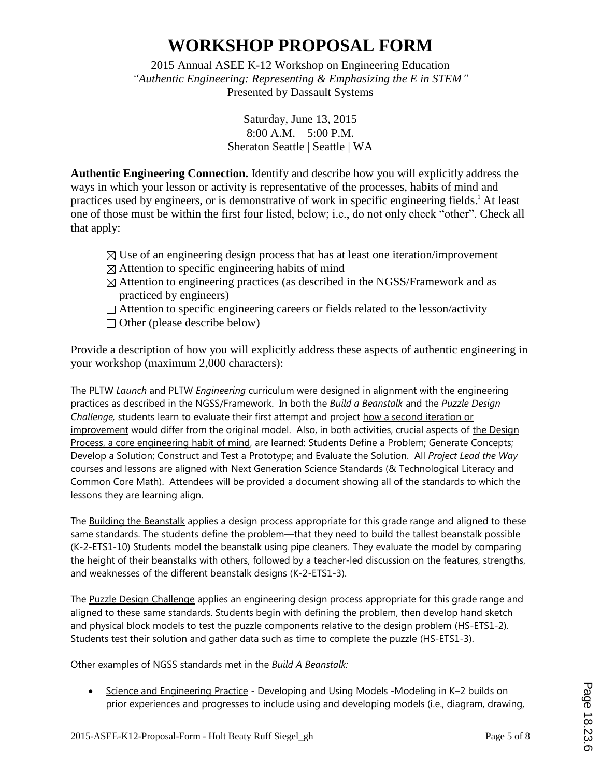2015 Annual ASEE K-12 Workshop on Engineering Education *"Authentic Engineering: Representing & Emphasizing the E in STEM"* Presented by Dassault Systems

> Saturday, June 13, 2015 8:00 A.M. – 5:00 P.M. Sheraton Seattle | Seattle | WA

**Authentic Engineering Connection.** Identify and describe how you will explicitly address the ways in which your lesson or activity is representative of the processes, habits of mind and practices used by engineers, or is demonstrative of work in specific engineering fields.<sup>i</sup> At least one of those must be within the first four listed, below; i.e., do not only check "other". Check all that apply:

- $\boxtimes$  Use of an engineering design process that has at least one iteration/improvement
- $\boxtimes$  Attention to specific engineering habits of mind
- $\boxtimes$  Attention to engineering practices (as described in the NGSS/Framework and as practiced by engineers)
- $\Box$  Attention to specific engineering careers or fields related to the lesson/activity
- $\Box$  Other (please describe below)

Provide a description of how you will explicitly address these aspects of authentic engineering in your workshop (maximum 2,000 characters):

The PLTW *Launch* and PLTW *Engineering* curriculum were designed in alignment with the engineering practices as described in the NGSS/Framework. In both the *Build a Beanstalk* and the *Puzzle Design Challenge,* students learn to evaluate their first attempt and project how a second iteration or improvement would differ from the original model. Also, in both activities, crucial aspects of the Design Process, a core engineering habit of mind, are learned: Students Define a Problem; Generate Concepts; Develop a Solution; Construct and Test a Prototype; and Evaluate the Solution. All *Project Lead the Way*  courses and lessons are aligned with Next Generation Science Standards (& Technological Literacy and Common Core Math). Attendees will be provided a document showing all of the standards to which the lessons they are learning align.

The Building the Beanstalk applies a design process appropriate for this grade range and aligned to these same standards. The students define the problem—that they need to build the tallest beanstalk possible (K-2-ETS1-10) Students model the beanstalk using pipe cleaners. They evaluate the model by comparing the height of their beanstalks with others, followed by a teacher-led discussion on the features, strengths, and weaknesses of the different beanstalk designs (K-2-ETS1-3).

The Puzzle Design Challenge applies an engineering design process appropriate for this grade range and aligned to these same standards. Students begin with defining the problem, then develop hand sketch and physical block models to test the puzzle components relative to the design problem (HS-ETS1-2). Students test their solution and gather data such as time to complete the puzzle (HS-ETS1-3).

Other examples of NGSS standards met in the *Build A Beanstalk:* 

• Science and Engineering Practice - Developing and Using Models -Modeling in K-2 builds on prior experiences and progresses to include using and developing models (i.e., diagram, drawing,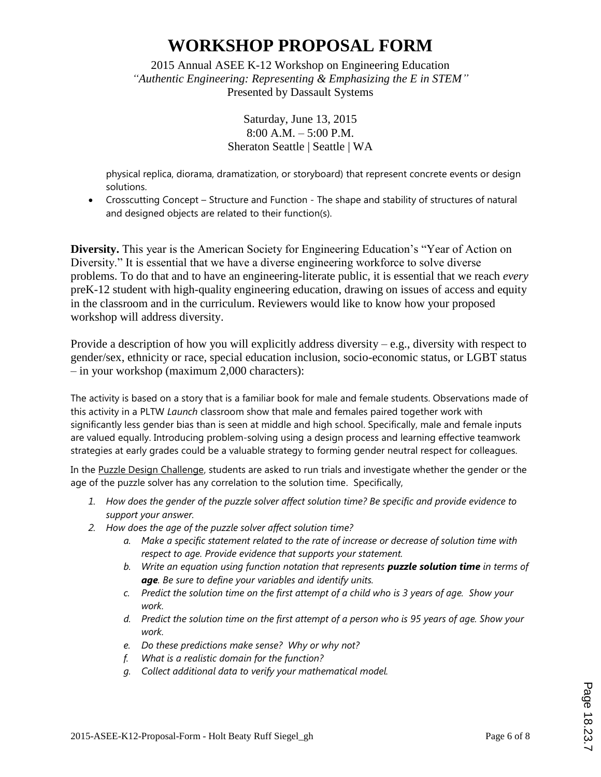2015 Annual ASEE K-12 Workshop on Engineering Education *"Authentic Engineering: Representing & Emphasizing the E in STEM"* Presented by Dassault Systems

> Saturday, June 13, 2015 8:00 A.M. – 5:00 P.M. Sheraton Seattle | Seattle | WA

physical replica, diorama, dramatization, or storyboard) that represent concrete events or design solutions.

 Crosscutting Concept – Structure and Function - The shape and stability of structures of natural and designed objects are related to their function(s).

**Diversity.** This year is the American Society for Engineering Education's "Year of Action on Diversity." It is essential that we have a diverse engineering workforce to solve diverse problems. To do that and to have an engineering-literate public, it is essential that we reach *every* preK-12 student with high-quality engineering education, drawing on issues of access and equity in the classroom and in the curriculum. Reviewers would like to know how your proposed workshop will address diversity.

Provide a description of how you will explicitly address diversity – e.g., diversity with respect to gender/sex, ethnicity or race, special education inclusion, socio-economic status, or LGBT status – in your workshop (maximum 2,000 characters):

The activity is based on a story that is a familiar book for male and female students. Observations made of this activity in a PLTW *Launch* classroom show that male and females paired together work with significantly less gender bias than is seen at middle and high school. Specifically, male and female inputs are valued equally. Introducing problem-solving using a design process and learning effective teamwork strategies at early grades could be a valuable strategy to forming gender neutral respect for colleagues.

In the Puzzle Design Challenge, students are asked to run trials and investigate whether the gender or the age of the puzzle solver has any correlation to the solution time. Specifically,

- *1. How does the gender of the puzzle solver affect solution time? Be specific and provide evidence to support your answer.*
- *2. How does the age of the puzzle solver affect solution time?* 
	- *a. Make a specific statement related to the rate of increase or decrease of solution time with respect to age. Provide evidence that supports your statement.*
	- *b. Write an equation using function notation that represents puzzle solution time in terms of age. Be sure to define your variables and identify units.*
	- *c. Predict the solution time on the first attempt of a child who is 3 years of age. Show your work.*
	- *d. Predict the solution time on the first attempt of a person who is 95 years of age. Show your work.*
	- *e. Do these predictions make sense? Why or why not?*
	- *f. What is a realistic domain for the function?*
	- *g. Collect additional data to verify your mathematical model.*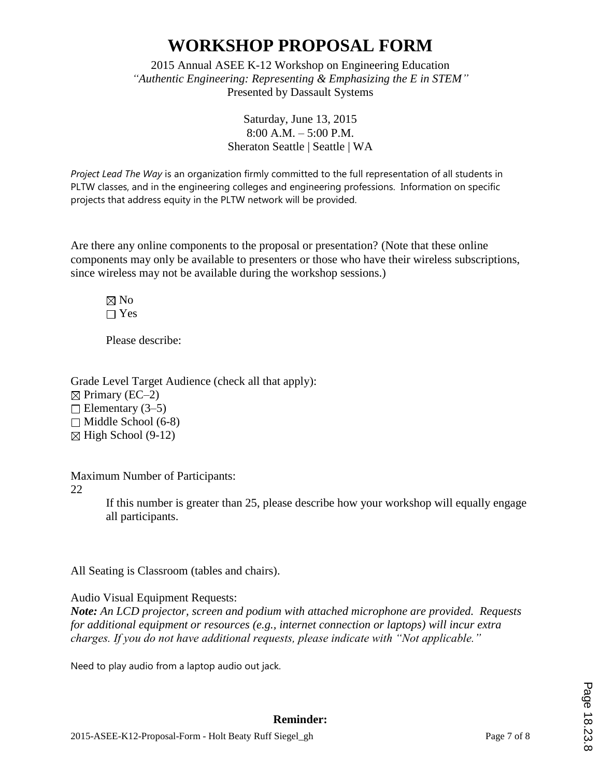2015 Annual ASEE K-12 Workshop on Engineering Education *"Authentic Engineering: Representing & Emphasizing the E in STEM"* Presented by Dassault Systems

> Saturday, June 13, 2015 8:00 A.M. – 5:00 P.M. Sheraton Seattle | Seattle | WA

*Project Lead The Way* is an organization firmly committed to the full representation of all students in PLTW classes, and in the engineering colleges and engineering professions. Information on specific projects that address equity in the PLTW network will be provided.

Are there any online components to the proposal or presentation? (Note that these online components may only be available to presenters or those who have their wireless subscriptions, since wireless may not be available during the workshop sessions.)

 $\boxtimes$  No  $\Box$  Yes

Please describe:

Grade Level Target Audience (check all that apply):  $\boxtimes$  Primary (EC–2)  $\Box$  Elementary (3–5)  $\Box$  Middle School (6-8)  $\boxtimes$  High School (9-12)

Maximum Number of Participants:

22

If this number is greater than 25, please describe how your workshop will equally engage all participants.

All Seating is Classroom (tables and chairs).

Audio Visual Equipment Requests:

*Note: An LCD projector, screen and podium with attached microphone are provided. Requests for additional equipment or resources (e.g., internet connection or laptops) will incur extra charges. If you do not have additional requests, please indicate with "Not applicable."* 

Need to play audio from a laptop audio out jack.